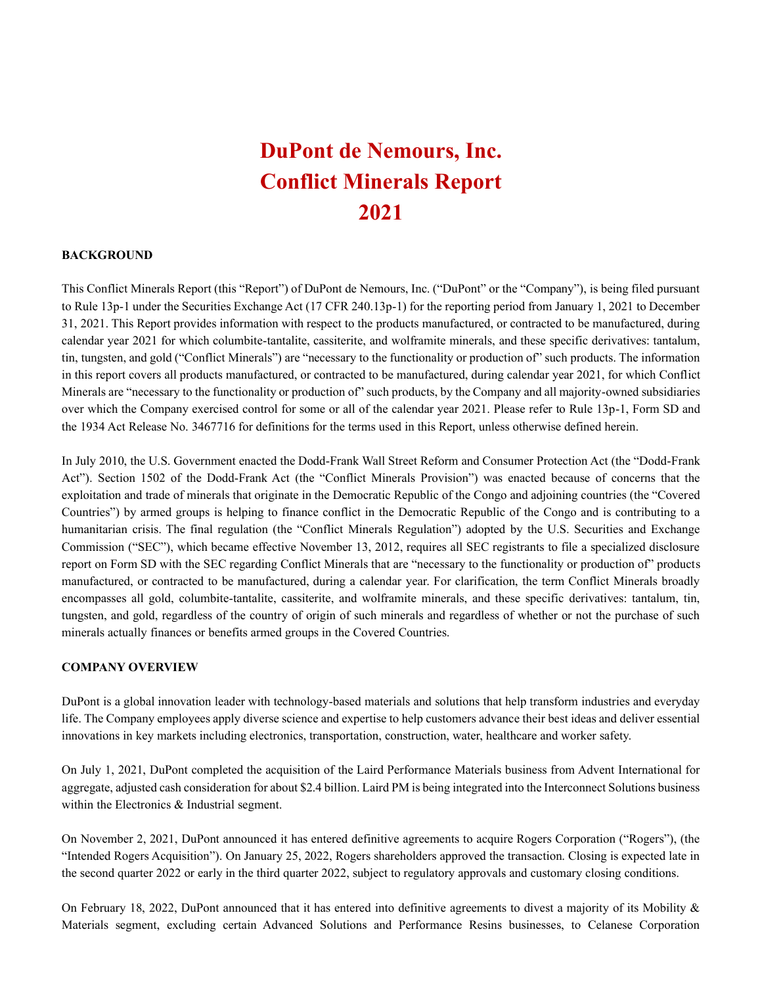# **DuPont de Nemours, Inc. Conflict Minerals Report 2021**

### **BACKGROUND**

This Conflict Minerals Report (this "Report") of DuPont de Nemours, Inc. ("DuPont" or the "Company"), is being filed pursuant to Rule 13p-1 under the Securities Exchange Act (17 CFR 240.13p-1) for the reporting period from January 1, 2021 to December 31, 2021. This Report provides information with respect to the products manufactured, or contracted to be manufactured, during calendar year 2021 for which columbite-tantalite, cassiterite, and wolframite minerals, and these specific derivatives: tantalum, tin, tungsten, and gold ("Conflict Minerals") are "necessary to the functionality or production of" such products. The information in this report covers all products manufactured, or contracted to be manufactured, during calendar year 2021, for which Conflict Minerals are "necessary to the functionality or production of" such products, by the Company and all majority-owned subsidiaries over which the Company exercised control for some or all of the calendar year 2021. Please refer to Rule 13p-1, Form SD and the 1934 Act Release No. 3467716 for definitions for the terms used in this Report, unless otherwise defined herein.

In July 2010, the U.S. Government enacted the Dodd-Frank Wall Street Reform and Consumer Protection Act (the "Dodd-Frank Act"). Section 1502 of the Dodd-Frank Act (the "Conflict Minerals Provision") was enacted because of concerns that the exploitation and trade of minerals that originate in the Democratic Republic of the Congo and adjoining countries (the "Covered Countries") by armed groups is helping to finance conflict in the Democratic Republic of the Congo and is contributing to a humanitarian crisis. The final regulation (the "Conflict Minerals Regulation") adopted by the U.S. Securities and Exchange Commission ("SEC"), which became effective November 13, 2012, requires all SEC registrants to file a specialized disclosure report on Form SD with the SEC regarding Conflict Minerals that are "necessary to the functionality or production of" products manufactured, or contracted to be manufactured, during a calendar year. For clarification, the term Conflict Minerals broadly encompasses all gold, columbite-tantalite, cassiterite, and wolframite minerals, and these specific derivatives: tantalum, tin, tungsten, and gold, regardless of the country of origin of such minerals and regardless of whether or not the purchase of such minerals actually finances or benefits armed groups in the Covered Countries.

#### **COMPANY OVERVIEW**

DuPont is a global innovation leader with technology-based materials and solutions that help transform industries and everyday life. The Company employees apply diverse science and expertise to help customers advance their best ideas and deliver essential innovations in key markets including electronics, transportation, construction, water, healthcare and worker safety.

On July 1, 2021, DuPont completed the acquisition of the Laird Performance Materials business from Advent International for aggregate, adjusted cash consideration for about \$2.4 billion. Laird PM is being integrated into the Interconnect Solutions business within the Electronics & Industrial segment.

On November 2, 2021, DuPont announced it has entered definitive agreements to acquire Rogers Corporation ("Rogers"), (the "Intended Rogers Acquisition"). On January 25, 2022, Rogers shareholders approved the transaction. Closing is expected late in the second quarter 2022 or early in the third quarter 2022, subject to regulatory approvals and customary closing conditions.

On February 18, 2022, DuPont announced that it has entered into definitive agreements to divest a majority of its Mobility & Materials segment, excluding certain Advanced Solutions and Performance Resins businesses, to Celanese Corporation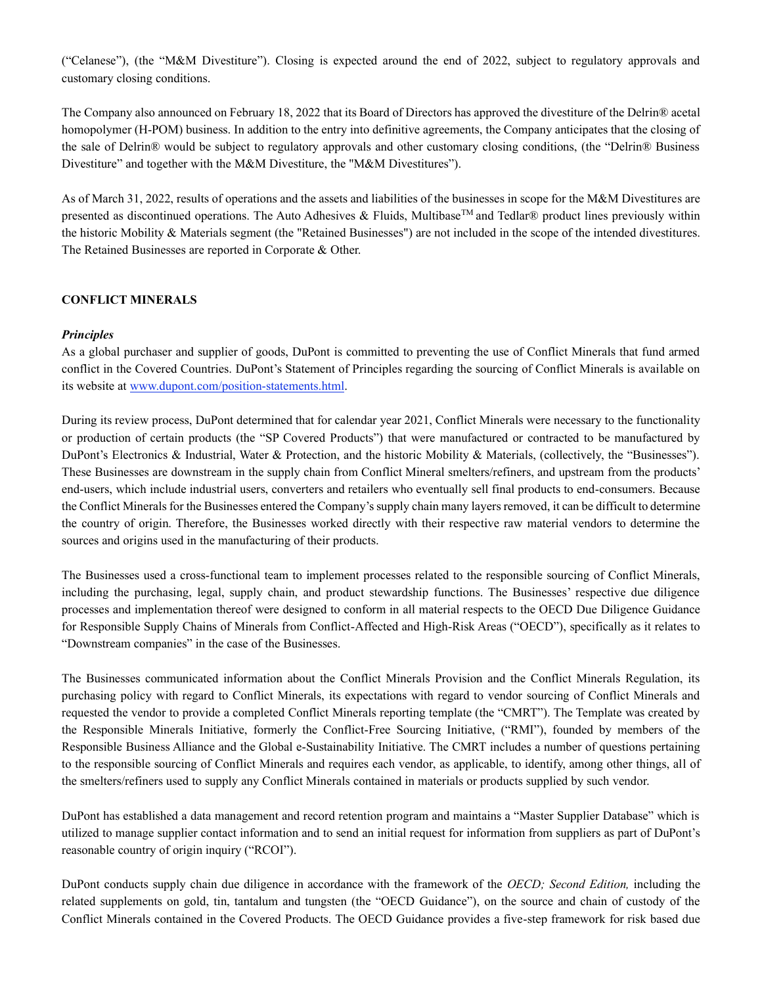("Celanese"), (the "M&M Divestiture"). Closing is expected around the end of 2022, subject to regulatory approvals and customary closing conditions.

The Company also announced on February 18, 2022 that its Board of Directors has approved the divestiture of the Delrin® acetal homopolymer (H-POM) business. In addition to the entry into definitive agreements, the Company anticipates that the closing of the sale of Delrin® would be subject to regulatory approvals and other customary closing conditions, (the "Delrin® Business Divestiture" and together with the M&M Divestiture, the "M&M Divestitures").

As of March 31, 2022, results of operations and the assets and liabilities of the businesses in scope for the M&M Divestitures are presented as discontinued operations. The Auto Adhesives & Fluids, Multibase<sup>TM</sup> and Tedlar<sup>®</sup> product lines previously within the historic Mobility & Materials segment (the "Retained Businesses") are not included in the scope of the intended divestitures. The Retained Businesses are reported in Corporate & Other.

# **CONFLICT MINERALS**

## *Principles*

As a global purchaser and supplier of goods, DuPont is committed to preventing the use of Conflict Minerals that fund armed conflict in the Covered Countries. DuPont's Statement of Principles regarding the sourcing of Conflict Minerals is available on its website at www.dupont.com/position-statements.html.

During its review process, DuPont determined that for calendar year 2021, Conflict Minerals were necessary to the functionality or production of certain products (the "SP Covered Products") that were manufactured or contracted to be manufactured by DuPont's Electronics & Industrial, Water & Protection, and the historic Mobility & Materials, (collectively, the "Businesses"). These Businesses are downstream in the supply chain from Conflict Mineral smelters/refiners, and upstream from the products' end-users, which include industrial users, converters and retailers who eventually sell final products to end-consumers. Because the Conflict Minerals for the Businesses entered the Company's supply chain many layers removed, it can be difficult to determine the country of origin. Therefore, the Businesses worked directly with their respective raw material vendors to determine the sources and origins used in the manufacturing of their products.

The Businesses used a cross-functional team to implement processes related to the responsible sourcing of Conflict Minerals, including the purchasing, legal, supply chain, and product stewardship functions. The Businesses' respective due diligence processes and implementation thereof were designed to conform in all material respects to the OECD Due Diligence Guidance for Responsible Supply Chains of Minerals from Conflict-Affected and High-Risk Areas ("OECD"), specifically as it relates to "Downstream companies" in the case of the Businesses.

The Businesses communicated information about the Conflict Minerals Provision and the Conflict Minerals Regulation, its purchasing policy with regard to Conflict Minerals, its expectations with regard to vendor sourcing of Conflict Minerals and requested the vendor to provide a completed Conflict Minerals reporting template (the "CMRT"). The Template was created by the Responsible Minerals Initiative, formerly the Conflict-Free Sourcing Initiative, ("RMI"), founded by members of the Responsible Business Alliance and the Global e-Sustainability Initiative. The CMRT includes a number of questions pertaining to the responsible sourcing of Conflict Minerals and requires each vendor, as applicable, to identify, among other things, all of the smelters/refiners used to supply any Conflict Minerals contained in materials or products supplied by such vendor.

DuPont has established a data management and record retention program and maintains a "Master Supplier Database" which is utilized to manage supplier contact information and to send an initial request for information from suppliers as part of DuPont's reasonable country of origin inquiry ("RCOI").

DuPont conducts supply chain due diligence in accordance with the framework of the *OECD; Second Edition,* including the related supplements on gold, tin, tantalum and tungsten (the "OECD Guidance"), on the source and chain of custody of the Conflict Minerals contained in the Covered Products. The OECD Guidance provides a five-step framework for risk based due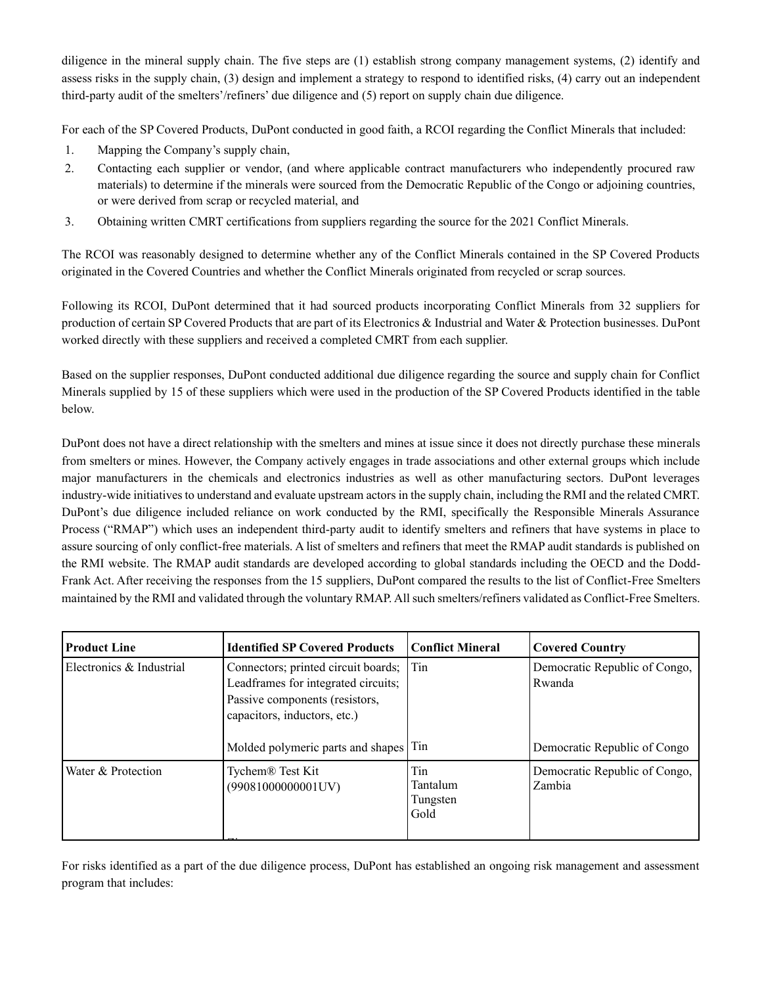diligence in the mineral supply chain. The five steps are (1) establish strong company management systems, (2) identify and assess risks in the supply chain, (3) design and implement a strategy to respond to identified risks, (4) carry out an independent third-party audit of the smelters'/refiners' due diligence and (5) report on supply chain due diligence.

For each of the SP Covered Products, DuPont conducted in good faith, a RCOI regarding the Conflict Minerals that included:

- 1. Mapping the Company's supply chain,
- 2. Contacting each supplier or vendor, (and where applicable contract manufacturers who independently procured raw materials) to determine if the minerals were sourced from the Democratic Republic of the Congo or adjoining countries, or were derived from scrap or recycled material, and
- 3. Obtaining written CMRT certifications from suppliers regarding the source for the 2021 Conflict Minerals.

The RCOI was reasonably designed to determine whether any of the Conflict Minerals contained in the SP Covered Products originated in the Covered Countries and whether the Conflict Minerals originated from recycled or scrap sources.

Following its RCOI, DuPont determined that it had sourced products incorporating Conflict Minerals from 32 suppliers for production of certain SP Covered Products that are part of its Electronics & Industrial and Water & Protection businesses. DuPont worked directly with these suppliers and received a completed CMRT from each supplier.

Based on the supplier responses, DuPont conducted additional due diligence regarding the source and supply chain for Conflict Minerals supplied by 15 of these suppliers which were used in the production of the SP Covered Products identified in the table below.

DuPont does not have a direct relationship with the smelters and mines at issue since it does not directly purchase these minerals from smelters or mines. However, the Company actively engages in trade associations and other external groups which include major manufacturers in the chemicals and electronics industries as well as other manufacturing sectors. DuPont leverages industry-wide initiatives to understand and evaluate upstream actors in the supply chain, including the RMI and the related CMRT. DuPont's due diligence included reliance on work conducted by the RMI, specifically the Responsible Minerals Assurance Process ("RMAP") which uses an independent third-party audit to identify smelters and refiners that have systems in place to assure sourcing of only conflict-free materials. A list of smelters and refiners that meet the RMAP audit standards is published on the RMI website. The RMAP audit standards are developed according to global standards including the OECD and the Dodd-Frank Act. After receiving the responses from the 15 suppliers, DuPont compared the results to the list of Conflict-Free Smelters maintained by the RMI and validated through the voluntary RMAP. All such smelters/refiners validated as Conflict-Free Smelters.

| <b>Product Line</b>      | <b>Identified SP Covered Products</b>                                                                                                        | <b>Conflict Mineral</b>             | <b>Covered Country</b>                  |
|--------------------------|----------------------------------------------------------------------------------------------------------------------------------------------|-------------------------------------|-----------------------------------------|
| Electronics & Industrial | Connectors; printed circuit boards;<br>Leadframes for integrated circuits;<br>Passive components (resistors,<br>capacitors, inductors, etc.) | Tin                                 | Democratic Republic of Congo,<br>Rwanda |
|                          | Molded polymeric parts and shapes Tin                                                                                                        |                                     | Democratic Republic of Congo            |
| Water & Protection       | Tychem <sup>®</sup> Test Kit<br>(99081000000001UV)                                                                                           | Tin<br>Tantalum<br>Tungsten<br>Gold | Democratic Republic of Congo,<br>Zambia |

For risks identified as a part of the due diligence process, DuPont has established an ongoing risk management and assessment program that includes: